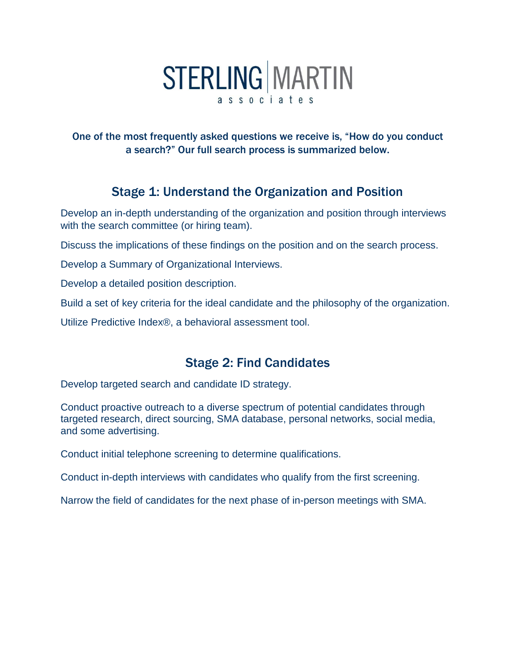# **STERLING MARTIN** associates

One of the most frequently asked questions we receive is, "How do you conduct a search?" Our full search process is summarized below.

## Stage 1: Understand the Organization and Position

Develop an in-depth understanding of the organization and position through interviews with the search committee (or hiring team).

Discuss the implications of these findings on the position and on the search process.

Develop a Summary of Organizational Interviews.

Develop a detailed position description.

Build a set of key criteria for the ideal candidate and the philosophy of the organization.

Utilize Predictive Index®, a behavioral assessment tool.

### Stage 2: Find Candidates

Develop targeted search and candidate ID strategy.

Conduct proactive outreach to a diverse spectrum of potential candidates through targeted research, direct sourcing, SMA database, personal networks, social media, and some advertising.

Conduct initial telephone screening to determine qualifications.

Conduct in-depth interviews with candidates who qualify from the first screening.

Narrow the field of candidates for the next phase of in-person meetings with SMA.